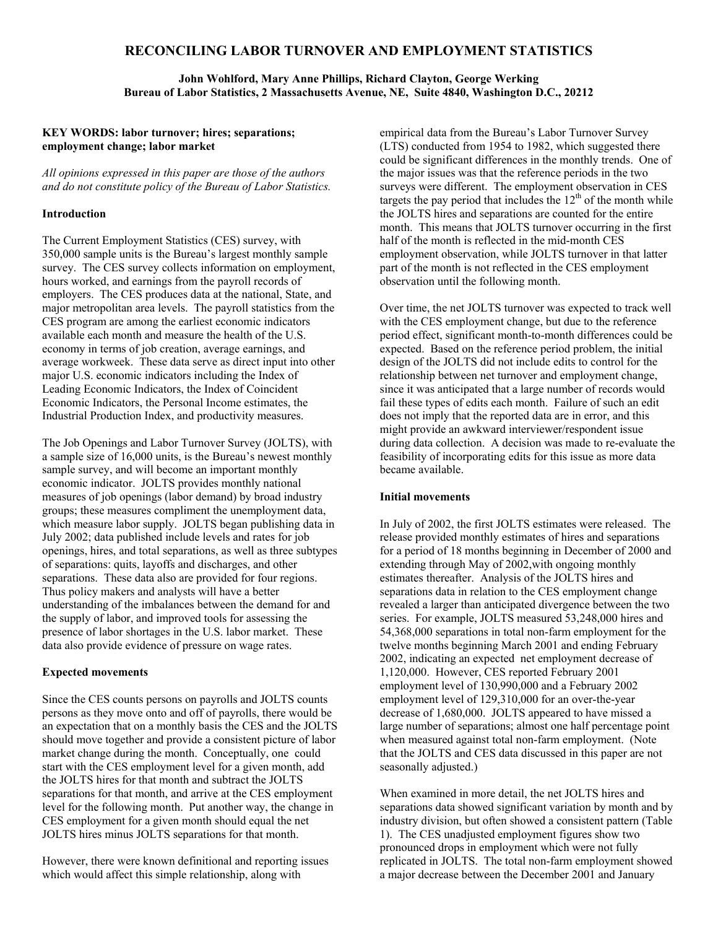# **RECONCILING LABOR TURNOVER AND EMPLOYMENT STATISTICS**

**John Wohlford, Mary Anne Phillips, Richard Clayton, George Werking Bureau of Labor Statistics, 2 Massachusetts Avenue, NE, Suite 4840, Washington D.C., 20212** 

## **KEY WORDS: labor turnover; hires; separations; employment change; labor market**

*All opinions expressed in this paper are those of the authors and do not constitute policy of the Bureau of Labor Statistics.* 

### **Introduction**

The Current Employment Statistics (CES) survey, with 350,000 sample units is the Bureau's largest monthly sample survey. The CES survey collects information on employment, hours worked, and earnings from the payroll records of employers. The CES produces data at the national, State, and major metropolitan area levels. The payroll statistics from the CES program are among the earliest economic indicators available each month and measure the health of the U.S. economy in terms of job creation, average earnings, and average workweek. These data serve as direct input into other major U.S. economic indicators including the Index of Leading Economic Indicators, the Index of Coincident Economic Indicators, the Personal Income estimates, the Industrial Production Index, and productivity measures.

The Job Openings and Labor Turnover Survey (JOLTS), with a sample size of 16,000 units, is the Bureau's newest monthly sample survey, and will become an important monthly economic indicator. JOLTS provides monthly national measures of job openings (labor demand) by broad industry groups; these measures compliment the unemployment data, which measure labor supply. JOLTS began publishing data in July 2002; data published include levels and rates for job openings, hires, and total separations, as well as three subtypes of separations: quits, layoffs and discharges, and other separations. These data also are provided for four regions. Thus policy makers and analysts will have a better understanding of the imbalances between the demand for and the supply of labor, and improved tools for assessing the presence of labor shortages in the U.S. labor market. These data also provide evidence of pressure on wage rates.

## **Expected movements**

Since the CES counts persons on payrolls and JOLTS counts persons as they move onto and off of payrolls, there would be an expectation that on a monthly basis the CES and the JOLTS should move together and provide a consistent picture of labor market change during the month. Conceptually, one could start with the CES employment level for a given month, add the JOLTS hires for that month and subtract the JOLTS separations for that month, and arrive at the CES employment level for the following month. Put another way, the change in CES employment for a given month should equal the net JOLTS hires minus JOLTS separations for that month.

However, there were known definitional and reporting issues which would affect this simple relationship, along with

empirical data from the Bureau's Labor Turnover Survey (LTS) conducted from 1954 to 1982, which suggested there could be significant differences in the monthly trends. One of the major issues was that the reference periods in the two surveys were different. The employment observation in CES targets the pay period that includes the  $12<sup>th</sup>$  of the month while the JOLTS hires and separations are counted for the entire month. This means that JOLTS turnover occurring in the first half of the month is reflected in the mid-month CES employment observation, while JOLTS turnover in that latter part of the month is not reflected in the CES employment observation until the following month.

Over time, the net JOLTS turnover was expected to track well with the CES employment change, but due to the reference period effect, significant month-to-month differences could be expected. Based on the reference period problem, the initial design of the JOLTS did not include edits to control for the relationship between net turnover and employment change, since it was anticipated that a large number of records would fail these types of edits each month. Failure of such an edit does not imply that the reported data are in error, and this might provide an awkward interviewer/respondent issue during data collection. A decision was made to re-evaluate the feasibility of incorporating edits for this issue as more data became available.

### **Initial movements**

In July of 2002, the first JOLTS estimates were released. The release provided monthly estimates of hires and separations for a period of 18 months beginning in December of 2000 and extending through May of 2002,with ongoing monthly estimates thereafter. Analysis of the JOLTS hires and separations data in relation to the CES employment change revealed a larger than anticipated divergence between the two series. For example, JOLTS measured 53,248,000 hires and 54,368,000 separations in total non-farm employment for the twelve months beginning March 2001 and ending February 2002, indicating an expected net employment decrease of 1,120,000. However, CES reported February 2001 employment level of 130,990,000 and a February 2002 employment level of 129,310,000 for an over-the-year decrease of 1,680,000. JOLTS appeared to have missed a large number of separations; almost one half percentage point when measured against total non-farm employment. (Note that the JOLTS and CES data discussed in this paper are not seasonally adjusted.)

When examined in more detail, the net JOLTS hires and separations data showed significant variation by month and by industry division, but often showed a consistent pattern (Table 1). The CES unadjusted employment figures show two pronounced drops in employment which were not fully replicated in JOLTS. The total non-farm employment showed a major decrease between the December 2001 and January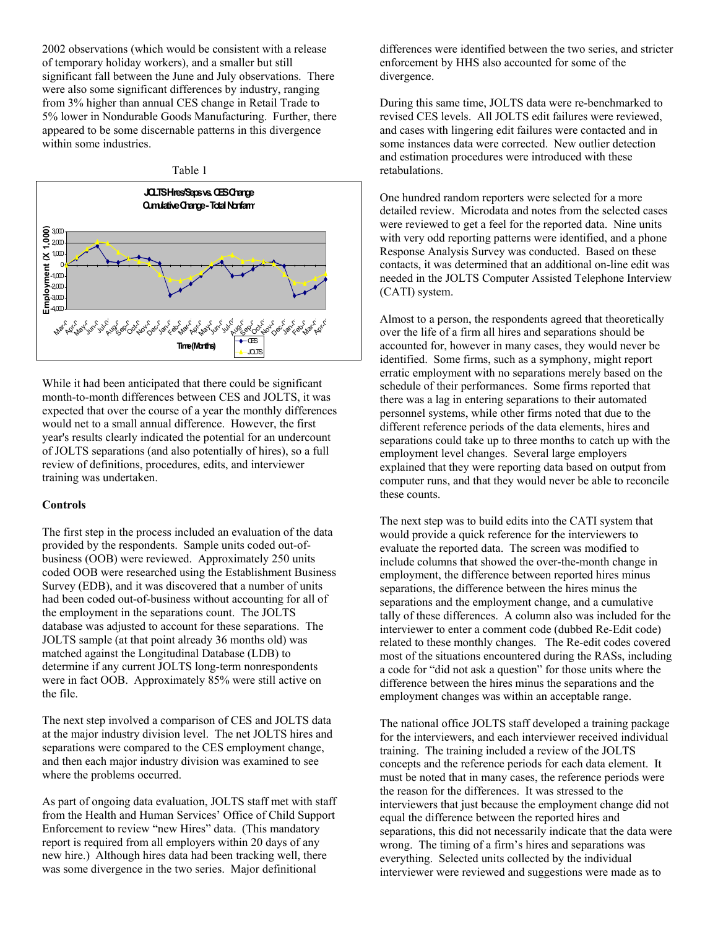2002 observations (which would be consistent with a release of temporary holiday workers), and a smaller but still significant fall between the June and July observations. There were also some significant differences by industry, ranging from 3% higher than annual CES change in Retail Trade to 5% lower in Nondurable Goods Manufacturing. Further, there appeared to be some discernable patterns in this divergence within some industries.

#### Table 1



While it had been anticipated that there could be significant month-to-month differences between CES and JOLTS, it was expected that over the course of a year the monthly differences would net to a small annual difference. However, the first year's results clearly indicated the potential for an undercount of JOLTS separations (and also potentially of hires), so a full review of definitions, procedures, edits, and interviewer training was undertaken.

### **Controls**

The first step in the process included an evaluation of the data provided by the respondents. Sample units coded out-ofbusiness (OOB) were reviewed. Approximately 250 units coded OOB were researched using the Establishment Business Survey (EDB), and it was discovered that a number of units had been coded out-of-business without accounting for all of the employment in the separations count. The JOLTS database was adjusted to account for these separations. The JOLTS sample (at that point already 36 months old) was matched against the Longitudinal Database (LDB) to determine if any current JOLTS long-term nonrespondents were in fact OOB. Approximately 85% were still active on the file.

The next step involved a comparison of CES and JOLTS data at the major industry division level. The net JOLTS hires and separations were compared to the CES employment change, and then each major industry division was examined to see where the problems occurred.

As part of ongoing data evaluation, JOLTS staff met with staff from the Health and Human Services' Office of Child Support Enforcement to review "new Hires" data. (This mandatory report is required from all employers within 20 days of any new hire.) Although hires data had been tracking well, there was some divergence in the two series. Major definitional

differences were identified between the two series, and stricter enforcement by HHS also accounted for some of the divergence.

During this same time, JOLTS data were re-benchmarked to revised CES levels. All JOLTS edit failures were reviewed, and cases with lingering edit failures were contacted and in some instances data were corrected. New outlier detection and estimation procedures were introduced with these retabulations.

One hundred random reporters were selected for a more detailed review. Microdata and notes from the selected cases were reviewed to get a feel for the reported data. Nine units with very odd reporting patterns were identified, and a phone Response Analysis Survey was conducted. Based on these contacts, it was determined that an additional on-line edit was needed in the JOLTS Computer Assisted Telephone Interview (CATI) system.

Almost to a person, the respondents agreed that theoretically over the life of a firm all hires and separations should be accounted for, however in many cases, they would never be identified. Some firms, such as a symphony, might report erratic employment with no separations merely based on the schedule of their performances. Some firms reported that there was a lag in entering separations to their automated personnel systems, while other firms noted that due to the different reference periods of the data elements, hires and separations could take up to three months to catch up with the employment level changes. Several large employers explained that they were reporting data based on output from computer runs, and that they would never be able to reconcile these counts.

The next step was to build edits into the CATI system that would provide a quick reference for the interviewers to evaluate the reported data. The screen was modified to include columns that showed the over-the-month change in employment, the difference between reported hires minus separations, the difference between the hires minus the separations and the employment change, and a cumulative tally of these differences. A column also was included for the interviewer to enter a comment code (dubbed Re-Edit code) related to these monthly changes. The Re-edit codes covered most of the situations encountered during the RASs, including a code for "did not ask a question" for those units where the difference between the hires minus the separations and the employment changes was within an acceptable range.

The national office JOLTS staff developed a training package for the interviewers, and each interviewer received individual training. The training included a review of the JOLTS concepts and the reference periods for each data element. It must be noted that in many cases, the reference periods were the reason for the differences. It was stressed to the interviewers that just because the employment change did not equal the difference between the reported hires and separations, this did not necessarily indicate that the data were wrong. The timing of a firm's hires and separations was everything. Selected units collected by the individual interviewer were reviewed and suggestions were made as to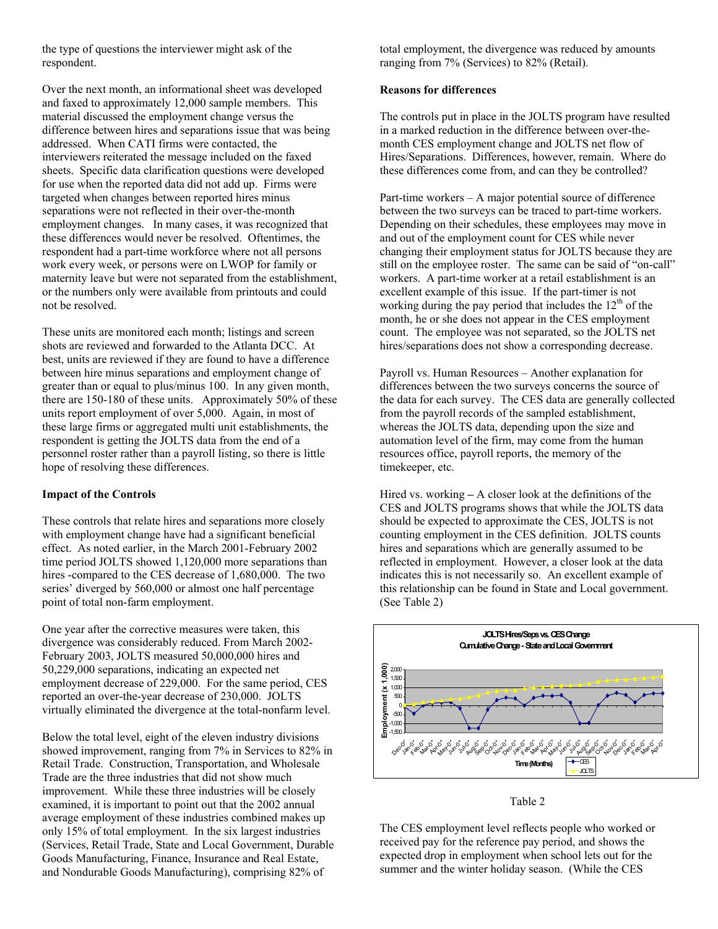the type of questions the interviewer might ask of the respondent.

Over the next month, an informational sheet was developed and faxed to approximately 12,000 sample members. This material discussed the employment change versus the difference between hires and separations issue that was being addressed. When CATI firms were contacted, the interviewers reiterated the message included on the faxed sheets. Specific data clarification questions were developed for use when the reported data did not add up. Firms were targeted when changes between reported hires minus separations were not reflected in their over-the-month employment changes. In many cases, it was recognized that these differences would never be resolved. Oftentimes, the respondent had a part-time workforce where not all persons work every week, or persons were on LWOP for family or maternity leave but were not separated from the establishment, or the numbers only were available from printouts and could not be resolved.

These units are monitored each month; listings and screen shots are reviewed and forwarded to the Atlanta DCC. At best, units are reviewed if they are found to have a difference between hire minus separations and employment change of greater than or equal to plus/minus 100. In any given month, there are 150-180 of these units. Approximately 50% of these units report employment of over 5,000. Again, in most of these large firms or aggregated multi unit establishments, the respondent is getting the JOLTS data from the end of a personnel roster rather than a payroll listing, so there is little hope of resolving these differences.

# **Impact of the Controls**

These controls that relate hires and separations more closely with employment change have had a significant beneficial effect. As noted earlier, in the March 2001-February 2002 time period JOLTS showed 1,120,000 more separations than hires -compared to the CES decrease of 1,680,000. The two series' diverged by 560,000 or almost one half percentage point of total non-farm employment.

One year after the corrective measures were taken, this divergence was considerably reduced. From March 2002- February 2003, JOLTS measured 50,000,000 hires and 50,229,000 separations, indicating an expected net employment decrease of 229,000. For the same period, CES reported an over-the-year decrease of 230,000. JOLTS virtually eliminated the divergence at the total-nonfarm level.

Below the total level, eight of the eleven industry divisions showed improvement, ranging from 7% in Services to 82% in Retail Trade. Construction, Transportation, and Wholesale Trade are the three industries that did not show much improvement. While these three industries will be closely examined, it is important to point out that the 2002 annual average employment of these industries combined makes up only 15% of total employment. In the six largest industries (Services, Retail Trade, State and Local Government, Durable Goods Manufacturing, Finance, Insurance and Real Estate, and Nondurable Goods Manufacturing), comprising 82% of

total employment, the divergence was reduced by amounts ranging from 7% (Services) to 82% (Retail).

### **Reasons for differences**

The controls put in place in the JOLTS program have resulted in a marked reduction in the difference between over-themonth CES employment change and JOLTS net flow of Hires/Separations. Differences, however, remain. Where do these differences come from, and can they be controlled?

Part-time workers – A major potential source of difference between the two surveys can be traced to part-time workers. Depending on their schedules, these employees may move in and out of the employment count for CES while never changing their employment status for JOLTS because they are still on the employee roster. The same can be said of "on-call" workers. A part-time worker at a retail establishment is an excellent example of this issue. If the part-timer is not working during the pay period that includes the  $12<sup>th</sup>$  of the month, he or she does not appear in the CES employment count. The employee was not separated, so the JOLTS net hires/separations does not show a corresponding decrease.

Payroll vs. Human Resources – Another explanation for differences between the two surveys concerns the source of the data for each survey. The CES data are generally collected from the payroll records of the sampled establishment, whereas the JOLTS data, depending upon the size and automation level of the firm, may come from the human resources office, payroll reports, the memory of the timekeeper, etc.

Hired vs. working **–** A closer look at the definitions of the CES and JOLTS programs shows that while the JOLTS data should be expected to approximate the CES, JOLTS is not counting employment in the CES definition. JOLTS counts hires and separations which are generally assumed to be reflected in employment. However, a closer look at the data indicates this is not necessarily so. An excellent example of this relationship can be found in State and Local government. (See Table 2)



Table 2

The CES employment level reflects people who worked or received pay for the reference pay period, and shows the expected drop in employment when school lets out for the summer and the winter holiday season. (While the CES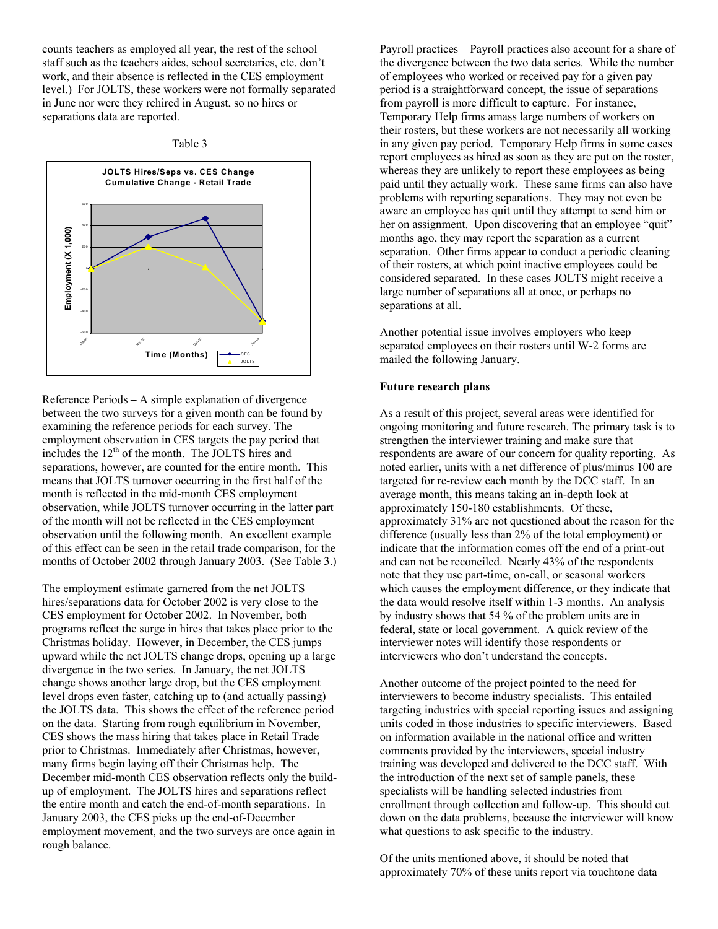counts teachers as employed all year, the rest of the school staff such as the teachers aides, school secretaries, etc. don't work, and their absence is reflected in the CES employment level.) For JOLTS, these workers were not formally separated in June nor were they rehired in August, so no hires or separations data are reported.





Reference Periods **–** A simple explanation of divergence between the two surveys for a given month can be found by examining the reference periods for each survey. The employment observation in CES targets the pay period that includes the  $12<sup>th</sup>$  of the month. The JOLTS hires and separations, however, are counted for the entire month. This means that JOLTS turnover occurring in the first half of the month is reflected in the mid-month CES employment observation, while JOLTS turnover occurring in the latter part of the month will not be reflected in the CES employment observation until the following month. An excellent example of this effect can be seen in the retail trade comparison, for the months of October 2002 through January 2003. (See Table 3.)

The employment estimate garnered from the net JOLTS hires/separations data for October 2002 is very close to the CES employment for October 2002. In November, both programs reflect the surge in hires that takes place prior to the Christmas holiday. However, in December, the CES jumps upward while the net JOLTS change drops, opening up a large divergence in the two series. In January, the net JOLTS change shows another large drop, but the CES employment level drops even faster, catching up to (and actually passing) the JOLTS data. This shows the effect of the reference period on the data. Starting from rough equilibrium in November, CES shows the mass hiring that takes place in Retail Trade prior to Christmas. Immediately after Christmas, however, many firms begin laying off their Christmas help. The December mid-month CES observation reflects only the buildup of employment. The JOLTS hires and separations reflect the entire month and catch the end-of-month separations. In January 2003, the CES picks up the end-of-December employment movement, and the two surveys are once again in rough balance.

Payroll practices – Payroll practices also account for a share of the divergence between the two data series. While the number of employees who worked or received pay for a given pay period is a straightforward concept, the issue of separations from payroll is more difficult to capture. For instance, Temporary Help firms amass large numbers of workers on their rosters, but these workers are not necessarily all working in any given pay period. Temporary Help firms in some cases report employees as hired as soon as they are put on the roster, whereas they are unlikely to report these employees as being paid until they actually work. These same firms can also have problems with reporting separations. They may not even be aware an employee has quit until they attempt to send him or her on assignment. Upon discovering that an employee "quit" months ago, they may report the separation as a current separation. Other firms appear to conduct a periodic cleaning of their rosters, at which point inactive employees could be considered separated. In these cases JOLTS might receive a large number of separations all at once, or perhaps no separations at all.

Another potential issue involves employers who keep separated employees on their rosters until W-2 forms are mailed the following January.

### **Future research plans**

As a result of this project, several areas were identified for ongoing monitoring and future research. The primary task is to strengthen the interviewer training and make sure that respondents are aware of our concern for quality reporting. As noted earlier, units with a net difference of plus/minus 100 are targeted for re-review each month by the DCC staff. In an average month, this means taking an in-depth look at approximately 150-180 establishments. Of these, approximately 31% are not questioned about the reason for the difference (usually less than 2% of the total employment) or indicate that the information comes off the end of a print-out and can not be reconciled. Nearly 43% of the respondents note that they use part-time, on-call, or seasonal workers which causes the employment difference, or they indicate that the data would resolve itself within 1-3 months. An analysis by industry shows that 54 % of the problem units are in federal, state or local government. A quick review of the interviewer notes will identify those respondents or interviewers who don't understand the concepts.

Another outcome of the project pointed to the need for interviewers to become industry specialists. This entailed targeting industries with special reporting issues and assigning units coded in those industries to specific interviewers. Based on information available in the national office and written comments provided by the interviewers, special industry training was developed and delivered to the DCC staff. With the introduction of the next set of sample panels, these specialists will be handling selected industries from enrollment through collection and follow-up. This should cut down on the data problems, because the interviewer will know what questions to ask specific to the industry.

Of the units mentioned above, it should be noted that approximately 70% of these units report via touchtone data